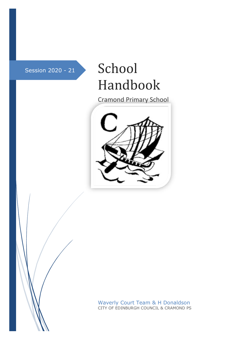# Session 2020 - 21 School Handbook

Cramond Primary School



Waverly Court Team & H Donaldson CITY OF EDINBURGH COUNCIL & CRAMOND PS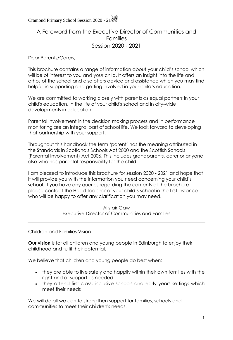A Foreword from the Executive Director of Communities and Families

Session 2020 - 2021

Dear Parents/Carers,

This brochure contains a range of information about your child's school which will be of interest to you and your child. It offers an insight into the life and ethos of the school and also offers advice and assistance which you may find helpful in supporting and getting involved in your child's education.

We are committed to working closely with parents as equal partners in your child's education, in the life of your child's school and in city-wide developments in education.

Parental involvement in the decision making process and in performance monitoring are an integral part of school life. We look forward to developing that partnership with your support.

Throughout this handbook the term 'parent' has the meaning attributed in the Standards in Scotland's Schools Act 2000 and the Scottish Schools (Parental Involvement) Act 2006. This includes grandparents, carer or anyone else who has parental responsibility for the child.

I am pleased to introduce this brochure for session 2020 - 2021 and hope that it will provide you with the information you need concerning your child's school. If you have any queries regarding the contents of the brochure please contact the Head Teacher of your child's school in the first instance who will be happy to offer any clarification you may need.

> Alistair Gaw Executive Director of Communities and Families

#### Children and Families Vision

**Our vision** is for all children and young people in Edinburgh to enjoy their childhood and fulfil their potential.

We believe that children and young people do best when:

- they are able to live safely and happily within their own families with the right kind of support as needed
- they attend first class, inclusive schools and early years settings which meet their needs

We will do all we can to strengthen support for families, schools and communities to meet their children's needs.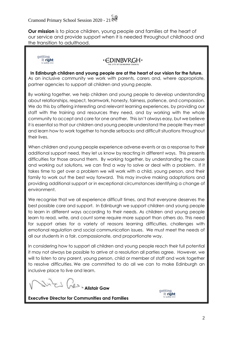**Our mission** is to place children, young people and families at the heart of our service and provide support when it is needed throughout childhood and the transition to adulthood.



### ∙∈DINBVRGH

**In Edinburgh children and young people are at the heart of our vision for the future.** As an inclusive community we work with parents, carers and, where appropriate, partner agencies to support all children and young people.

By working together, we help children and young people to develop understanding about relationships, respect, teamwork, honesty, fairness, patience, and compassion. We do this by offering interesting and relevant learning experiences, by providing our staff with the training and resources they need, and by working with the whole community to accept and care for one another. This isn't always easy, but we believe it is essential so that our children and young people understand the people they meet and learn how to work together to handle setbacks and difficult situations throughout their lives.

When children and young people experience adverse events or as a response to their additional support need, they let us know by reacting in different ways. This presents difficulties for those around them. By working together, by understanding the cause and working out solutions, we can find a way to solve or deal with a problem. If it takes time to get over a problem we will work with a child, young person, and their family to work out the best way forward. This may involve making adaptations and providing additional support or in exceptional circumstances identifying a change of environment.

We recognise that we all experience difficult times, and that everyone deserves the best possible care and support. In Edinburgh we support children and young people to learn in different ways according to their needs. As children and young people learn to read, write, and count some require more support than others do. This need for support arises for a variety of reasons learning difficulties, challenges with emotional regulation and social communication issues. We must meet the needs of all our students in a fair, compassionate, and proportionate way.

In considering how to support all children and young people reach their full potential it may not always be possible to arrive at a resolution all parties agree. However, we will to listen to any parent, young person, child or member of staff and work together to resolve difficulties. We are committed to do all we can to make Edinburgh an inclusive place to live and learn.

**Alistair Gaw**



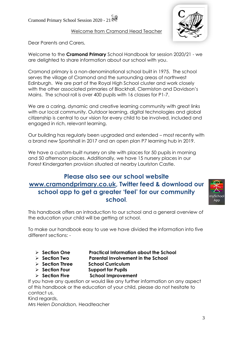Welcome from Cramond Head Teacher



Dear Parents and Carers,

Welcome to the **Cramond Primary** School Handbook for session 2020/21 - we are delighted to share information about our school with you.

Cramond primary is a non-denominational school built in 1975. The school serves the village of Cramond and the surrounding areas of northwest Edinburgh. We are part of the Royal High School cluster and work closely with the other associated primaries of Blackhall, Clermiston and Davidson's Mains. The school roll is over 400 pupils with 16 classes for P1-7.

We are a caring, dynamic and creative learning community with great links with our local community. Outdoor learning, digital technologies and global citizenship is central to our vision for every child to be involved, included and engaged in rich, relevant learning.

Our building has regularly been upgraded and extended – most recently with a brand new Sportshall in 2017 and an open plan P7 learning hub in 2019.

We have a custom-built nursery on site with places for 50 pupils in morning and 50 afternoon places. Additionally, we have 15 nursery places in our Forest Kindergarten provision situated at nearby Lauriston Castle.

### **Please also see our school website [www.cramondprimary.co.uk,](http://www.cramondprimary.co.uk/) Twitter feed & download our school app to get a greater 'feel' for our community school**.



This handbook offers an introduction to our school and a general overview of the education your child will be getting at school.

To make our handbook easy to use we have divided the information into five different sections: -

- ➢ **Section One Practical Information about the School**
- ➢ **Section Two Parental Involvement in the School**
- ➢ **Section Three School Curriculum**
- ➢ **Section Four Support for Pupils**
- 
- ➢ **Section Five School Improvement**

If you have any question or would like any further information on any aspect of this handbook or the education of your child, please do not hesitate to contact us.

Kind regards,

*Mrs Helen Donaldson,* Headteacher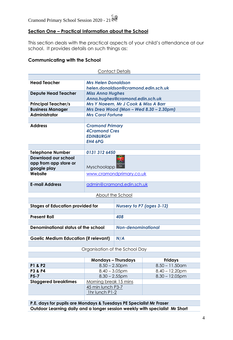#### **Section One – Practical Information about the School**

This section deals with the practical aspects of your child's attendance at our school. It provides details on such things as:

#### **Communicating with the School**

| <b>Contact Details</b>                                      |                                                                                      |                                         |  |  |
|-------------------------------------------------------------|--------------------------------------------------------------------------------------|-----------------------------------------|--|--|
|                                                             |                                                                                      |                                         |  |  |
| <b>Head Teacher</b>                                         | <b>Mrs Helen Donaldson</b><br>helen.donaldson@cramond.edin.sch.uk                    |                                         |  |  |
| <b>Depute Head Teacher</b>                                  | <b>Miss Anna Hughes</b><br>Anna.hughes@cramond.edin.sch.uk                           |                                         |  |  |
| <b>Principal Teacher/s</b>                                  |                                                                                      | Mrs Y Naeem, Mr J Cook & Miss A Barr    |  |  |
| <b>Business Manager</b>                                     |                                                                                      | Mrs Drea Wood (Mon - Wed 8.30 - 2.30pm) |  |  |
| <b>Administrator</b>                                        | <b>Mrs Carol Fortune</b>                                                             |                                         |  |  |
|                                                             |                                                                                      |                                         |  |  |
| <b>Address</b>                                              | <b>Cramond Primary</b><br><b>4Cramond Cres</b><br><b>EDINBURGH</b><br><b>EH4 6PG</b> |                                         |  |  |
|                                                             |                                                                                      |                                         |  |  |
| <b>Telephone Number</b>                                     | 0131 312 6450                                                                        |                                         |  |  |
| Download our school<br>app from app store or<br>google play | Myschoolapp                                                                          |                                         |  |  |
| Website                                                     | www.cramondprimary.co.uk                                                             |                                         |  |  |
| <b>E-mail Address</b>                                       |                                                                                      | admin@cramond.edin.sch.uk               |  |  |
|                                                             |                                                                                      | About the School                        |  |  |
|                                                             |                                                                                      |                                         |  |  |
| <b>Stages of Education provided for</b>                     |                                                                                      | Nursery to P7 (ages 3-12)               |  |  |
|                                                             |                                                                                      |                                         |  |  |
| <b>Present Roll</b>                                         |                                                                                      | 408                                     |  |  |
|                                                             |                                                                                      |                                         |  |  |
| <b>Denominational status of the school</b>                  |                                                                                      | <b>Non-denominational</b>               |  |  |
|                                                             |                                                                                      |                                         |  |  |
| <b>Gaelic Medium Education (if relevant)</b>                |                                                                                      | N/A                                     |  |  |
|                                                             |                                                                                      | Oragnisation of the School Day          |  |  |

#### Organisation of the School Day

|                             | <b>Mondays - Thursdays</b> | <b>Fridays</b>    |
|-----------------------------|----------------------------|-------------------|
| <b>P1 &amp; P2</b>          | $8.50 - 2.50$ pm           | $8.50 - 11.50$ am |
| <b>P3 &amp; P4</b>          | $8.40 - 3.05$ pm           | $8.40 - 12.20$ pm |
| $P5-7$                      | $8.30 - 2.55$ pm           | $8.30 - 12.05$ pm |
| <b>Staggered breaktimes</b> | Morning break 15 mins      |                   |
|                             | 45 min lunch P3-7          |                   |
|                             | 1hr lunch P1-2             |                   |

**P.E. days for pupils are Mondays & Tuesdays PE Specialist Mr Fraser Outdoor Learning daily and a longer session weekly with specialist Mr Short**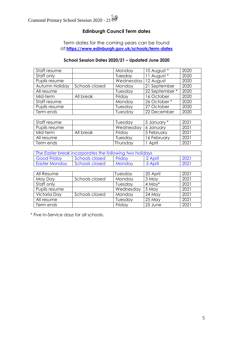#### **Edinburgh Council Term dates**

Term dates for the coming years can be found at:**<https://www.edinburgh.gov.uk/schools/term-dates>**

#### **School Session Dates 2020/21 – Updated June 2020**

| Staff resume   |                | Monday                 | 10 August *   | 2020 |
|----------------|----------------|------------------------|---------------|------|
| Staff only     |                | 11 August *<br>Tuesday |               | 2020 |
| Pupils resume  |                | Wednesday              | 12 August     | 2020 |
| Autumn Holiday | Schools closed | Monday                 | 21 September  | 2020 |
| All resume     |                | Tuesday                | 22 September* | 2020 |
| Mid-term       | All break      | Friday                 | 16 October    | 2020 |
| Staff resume   |                | Monday                 | 26 October*   | 2020 |
| Pupils resume  |                | Tuesday                | 27 October    | 2020 |
| Term ends      |                | Tuesday                | 22 December   | 2020 |

| Staff resume  |           | Tuesdav   | 15 January * | 2021 |
|---------------|-----------|-----------|--------------|------|
| Pupils resume |           | Wednesday | 16 Januarv   | 2021 |
| Mid-term      | All break | Friday    | ∣5 February  | 2021 |
| All resume    |           | Tuesday   | 16 February  | 2021 |
| Term ends     |           | Thursday  | April        | 2021 |

| The Easter break incorporates the following two holidays |                |               |         |      |
|----------------------------------------------------------|----------------|---------------|---------|------|
| <b>Good Friday</b>                                       | Schools closed | <b>Fridav</b> | 2 April | 2021 |
| <b>Easter Monday</b>                                     | Schools closed | <b>Mondav</b> | 5 April | 2021 |

| All Resume    |                | Tuesday   | 20 April    | 2021 |
|---------------|----------------|-----------|-------------|------|
| May Day       | Schools closed | Monday    | 3 May       | 2021 |
| Staff only    |                | Tuesday   | $4$ May $*$ | 2021 |
| Pupils resume |                | Wednesday | 5 May       | 2021 |
| Victoria Day  | Schools closed | Monday    | $24$ May    | 2021 |
| All resume    |                | Tuesday   | $25$ May    | 2021 |
| Term ends     |                | Friday    | 25 June     | 2021 |

\* Five In-Service days for all schools.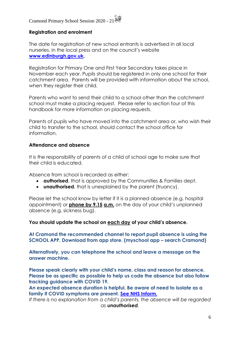#### **Registration and enrolment**

The date for registration of new school entrants is advertised in all local nurseries, in the local press and on the council's website **[www.edinburgh.gov.uk.](http://www.edinburgh.gov.uk/)** 

Registration for Primary One and First Year Secondary takes place in November each year. Pupils should be registered in only one school for their catchment area. Parents will be provided with information about the school, when they register their child.

Parents who want to send their child to a school other than the catchment school must make a placing request. Please refer to section four of this handbook for more information on placing requests.

Parents of pupils who have moved into the catchment area or, who wish their child to transfer to the school, should contact the school office for information.

#### **Attendance and absence**

It is the responsibility of parents of a child of school age to make sure that their child is educated.

Absence from school is recorded as either:

- **authorised**, that is approved by the Communities & Families dept.
- **unauthorised**, that is unexplained by the parent (truancy).

Please let the school know by letter if it is a planned absence (e.g. hospital appointment) or **phone by 9.15 a.m.** on the day of your child's unplanned absence (e.g. sickness bug).

#### **You should update the school on each day of your child's absence.**

**At Cramond the recommended channel to report pupil absence is using the SCHOOL APP. Download from app store. (myschool app – search Cramond)**

**Alternatively, you can telephone the school and leave a message on the answer machine.** 

**Please speak clearly with your child's name, class and reason for absence. Please be as specific as possible to help us code the absence but also follow tracking guidance with COVID 19.**

**An expected absence duration is helpful. Be aware of need to isolate as a family if COVID symptoms are present. [See NHS Inform.](https://www.nhsinform.scot/)**

*If there is no explanation from a child's parents, the absence will be regarded as unauthorised.*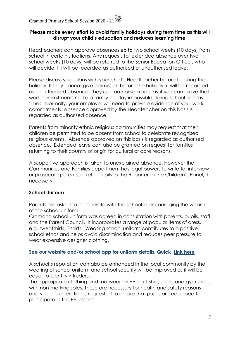#### **Please make every effort to avoid family holidays during term time as this will disrupt your child's education and reduces learning time.**

Headteachers can approve absences **up to** two school weeks (10 days) from school in certain situations. Any requests for extended absence over two school weeks (10 days) will be referred to the Senior Education Officer, who will decide if it will be recorded as authorised or unauthorised leave.

Please discuss your plans with your child's Headteacher before booking the holiday. If they cannot give permission before the holiday, it will be recorded as unauthorised absence. They can authorise a holiday if you can prove that work commitments make a family holiday impossible during school holiday times. Normally, your employer will need to provide evidence of your work commitments. Absence approved by the Headteacher on this basis is regarded as authorised absence.

Parents from minority ethnic religious communities may request that their children be permitted to be absent from school to celebrate recognised religious events. Absence approved on this basis is regarded as authorised absence. Extended leave can also be granted on request for families returning to their country of origin for cultural or care reasons.

A supportive approach is taken to unexplained absence. However the Communities and Families department has legal powers to write to, interview or prosecute parents, or refer pupils to the Reporter to the Children's Panel, if necessary.

#### **School Uniform**

Parents are asked to co-operate with the school in encouraging the wearing of the school uniform.

Cramond school uniform was agreed in consultation with parents, pupils, staff and the Parent Council. It incorporates a range of popular items of dress, e.g. sweatshirts, T-shirts. Wearing school uniform contributes to a positive school ethos and helps avoid discrimination and reduces peer pressure to wear expensive designer clothing.

#### **See our website and/or school app for uniform details. Quick [Link here](http://cramondprimary.co.uk/school-uniform/)**

A school's reputation can also be enhanced in the local community by the wearing of school uniform and school security will be improved as it will be easier to identify intruders.

The appropriate clothing and footwear for PE is a T-shirt, shorts and gym shoes with non-marking soles. These are necessary for health and safety reasons and your co-operation is requested to ensure that pupils are equipped to participate in the PE lessons.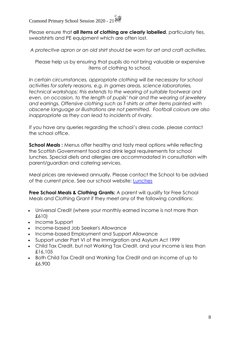Please ensure that **all items of clothing are clearly labelled**, particularly ties, sweatshirts and PE equipment which are often lost.

*A protective apron or an old shirt should be worn for art and craft activities.*

Please help us by ensuring that pupils do not bring valuable or expensive items of clothing to school.

*In certain circumstances, appropriate clothing will be necessary for school activities for safety reasons, e.g. in games areas, science laboratories, technical workshops; this extends to the wearing of suitable footwear and even, on occasion, to the length of pupils' hair and the wearing of jewellery and earrings. Offensive clothing such as T-shirts or other items painted with obscene language or illustrations are not permitted. Football colours are also inappropriate as they can lead to incidents of rivalry.*

If you have any queries regarding the school's dress code, please contact the school office.

**School Meals :** Menus offer healthy and tasty meal options while reflecting the Scottish Government food and drink legal requirements for school lunches. Special diets and allergies are accommodated in consultation with parent/guardian and catering services.

Meal prices are reviewed annually. Please contact the School to be advised of the current price. See our school website: [Lunches](cramondprimary.co.uk/school-lunches/)

**Free School Meals & Clothing Grants:** A parent will qualify for Free School Meals and Clothing Grant if they meet any of the following conditions:

- [Universal Credit](https://www.gov.uk/universal-credit) (where your monthly earned income is not more than £610)
- [Income Support](https://www.gov.uk/income-support)
- Income-based [Job Seeker's Allowance](https://www.gov.uk/jobseekers-allowance)
- Income-based [Employment and Support Allowance](https://www.gov.uk/employment-support-allowance)
- Support under [Part VI of the Immigration and Asylum Act 1999](http://www.legislation.gov.uk/ukpga/1999/33/part/VI)
- [Child Tax Credit,](https://www.gov.uk/child-tax-credit) but not [Working Tax Credit,](https://www.gov.uk/working-tax-credit) and your income is less than £16,105
- Both Child Tax Credit and Working Tax Credit and an income of up to £6,900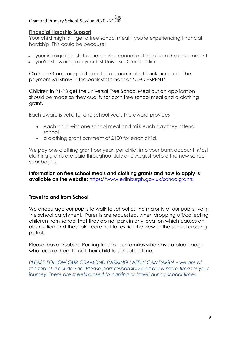#### **Financial Hardship Support**

Your child might still get a free school meal if you're experiencing financial hardship. This could be because:

- your immigration status means you cannot get help from the government
- you're still waiting on your first Universal Credit notice

Clothing Grants are paid direct into a nominated bank account. The payment will show in the bank statement as 'CEC-EXPEN1'.

Children in P1-P3 get the universal Free School Meal but an application should be made so they qualify for both free school meal and a clothing grant.

Each award is valid for one school year. The award provides

- each child with one school meal and milk each day they attend school
- a clothing grant payment of £100 for each child.

We pay one clothing grant per year, per child, into your bank account. Most clothing grants are paid throughout July and August before the new school year begins.

**Information on free school meals and clothing grants and how to apply is available on the website:** <https://www.edinburgh.gov.uk/schoolgrants>

#### **Travel to and from School**

We encourage our pupils to walk to school as the majority of our pupils live in the school catchment. Parents are requested, when dropping off/collecting children from school that they do not park in any location which causes an obstruction and they take care not to restrict the view of the school crossing patrol.

Please leave Disabled Parking free for our families who have a blue badge who require them to get their child to school on time.

*[PLEASE FOLLOW OUR CRAMOND PARKING SAFELY CAMPAIGN](http://cramondprimary.co.uk/travel-to-school-park-smart/) – we are at the top of a cul-de-sac. Please park responsibly and allow more time for your journey. There are streets closed to parking or travel during school times.*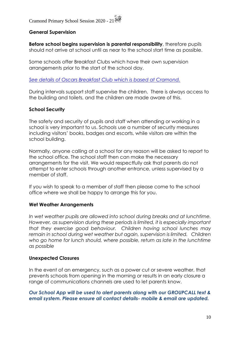#### **General Supervision**

**Before school begins supervision is parental responsibility**, therefore pupils should not arrive at school until as near to the school start time as possible.

Some schools offer Breakfast Clubs which have their own supervision arrangements prior to the start of the school day.

*[See details of Oscars Breakfast Club which is based at Cramond.](http://cramondprimary.co.uk/clubs-sports/)*

During intervals support staff supervise the children. There is always access to the building and toilets, and the children are made aware of this.

#### **School Security**

The safety and security of pupils and staff when attending or working in a school is very important to us. Schools use a number of security measures including visitors' books, badges and escorts, while visitors are within the school building.

Normally, anyone calling at a school for any reason will be asked to report to the school office. The school staff then can make the necessary arrangements for the visit. We would respectfully ask that parents do not attempt to enter schools through another entrance, unless supervised by a member of staff.

If you wish to speak to a member of staff then please come to the school office where we shall be happy to arrange this for you.

#### **Wet Weather Arrangements**

In wet weather pupils are allowed into school during breaks and at lunchtime. *However, as supervision during these periods is limited, it is especially important that they exercise good behaviour. Children having school lunches may remain in school during wet weather but again, supervision is limited. Children who go home for lunch should, where possible, return as late in the lunchtime as possible*

#### **Unexpected Closures**

In the event of an emergency, such as a power cut or severe weather, that prevents schools from opening in the morning or results in an early closure a range of communications channels are used to let parents know.

#### *Our School App will be used to alert parents along with our GROUPCALL text & email system. Please ensure all contact details- mobile & email are updated.*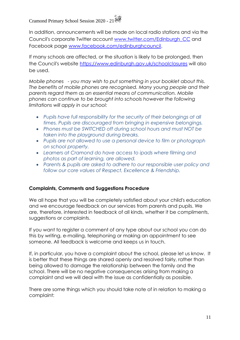In addition, announcements will be made on local radio stations and via the Council's corporate Twitter account [www.twitter.com/](http://www.twitter.com/)[Edinburgh\\_CC](http://www.twitter.com/Edinburgh_CC) and Facebook page [www.facebook.com/edinburghcouncil.](http://www.facebook.com/edinburghcouncil)

If many schools are affected, or the situation is likely to be prolonged, then the Council's website<https://www.edinburgh.gov.uk/schoolclosures> will also be used.

*Mobile phones - you may wish to put something in your booklet about this. The benefits of mobile phones are recognised. Many young people and their parents regard them as an essential means of communication. Mobile phones can continue to be brought into schools however the following limitations will apply in our school:* 

- *Pupils have full responsibility for the security of their belongings at all times. Pupils are discouraged from bringing in expensive belongings.*
- *Phones must be SWITCHED off during school hours and must NOT be taken into the playground during breaks.*
- *Pupils are not allowed to use a personal device to film or photograph on school property.*
- *Learners at Cramond do have access to ipads where filming and photos as part of learning, are allowed.*
- *Parents & pupils are asked to adhere to our responsible user policy and follow our core values of Respect, Excellence & Friendship.*

#### **Complaints, Comments and Suggestions Procedure**

We all hope that you will be completely satisfied about your child's education and we encourage feedback on our services from parents and pupils. We are, therefore, interested in feedback of all kinds, whether it be compliments, suggestions or complaints.

If you want to register a comment of any type about our school you can do this by writing, e-mailing, telephoning or making an appointment to see someone. All feedback is welcome and keeps us in touch.

If, in particular, you have a complaint about the school, please let us know. It is better that these things are shared openly and resolved fairly, rather than being allowed to damage the relationship between the family and the school. There will be no negative consequences arising from making a complaint and we will deal with the issue as confidentially as possible.

There are some things which you should take note of in relation to making a complaint: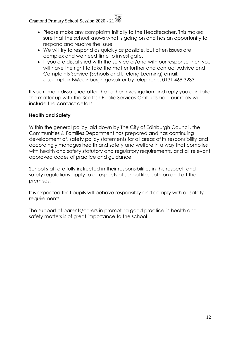- Please make any complaints initially to the Headteacher. This makes sure that the school knows what is going on and has an opportunity to respond and resolve the issue.
- We will try to respond as quickly as possible, but often issues are complex and we need time to investigate.
- If you are dissatisfied with the service or/and with our response then you will have the right to take the matter further and contact Advice and Complaints Service (Schools and Lifelong Learning) email: [cf.complaints@edinburgh.gov.uk](mailto:cf.complaints@edinburgh.gov.uk) or by telephone: 0131 469 3233.

If you remain dissatisfied after the further investigation and reply you can take the matter up with the Scottish Public Services Ombudsman, our reply will include the contact details.

#### **Health and Safety**

Within the general policy laid down by The City of Edinburgh Council, the Communities & Families Department has prepared and has continuing development of, safety policy statements for all areas of its responsibility and accordingly manages health and safety and welfare in a way that complies with health and safety statutory and regulatory requirements, and all relevant approved codes of practice and guidance.

School staff are fully instructed in their responsibilities in this respect, and safety regulations apply to all aspects of school life, both on and off the premises.

It is expected that pupils will behave responsibly and comply with all safety requirements.

The support of parents/carers in promoting good practice in health and safety matters is of great importance to the school.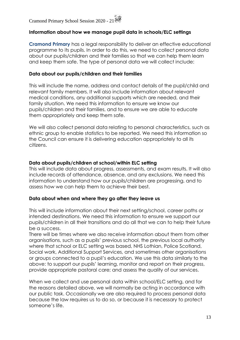#### **Information about how we manage pupil data in schools/ELC settings**

**Cramond Primary** has a legal responsibility to deliver an effective educational programme to its pupils. In order to do this, we need to collect personal data about our pupils/children and their families so that we can help them learn and keep them safe. The type of personal data we will collect include:

#### **Data about our pupils/children and their families**

This will include the name, address and contact details of the pupil/child and relevant family members. It will also include information about relevant medical conditions, any additional supports which are needed, and their family situation. We need this information to ensure we know our pupils/children and their families, and to ensure we are able to educate them appropriately and keep them safe.

We will also collect personal data relating to personal characteristics, such as ethnic group to enable statistics to be reported. We need this information so the Council can ensure it is delivering education appropriately to all its citizens.

#### **Data about pupils/children at school/within ELC setting**

This will include data about progress, assessments, and exam results. It will also include records of attendance, absence, and any exclusions. We need this information to understand how our pupils/children are progressing, and to assess how we can help them to achieve their best.

#### **Data about when and where they go after they leave us**

This will include information about their next setting/school, career paths or intended destinations. We need this information to ensure we support our pupils/children in all their transitions and do all that we can to help their future be a success.

There will be times where we also receive information about them from other organisations, such as a pupils' previous school, the previous local authority where that school or ELC setting was based, NHS Lothian, Police Scotland, Social work, Additional Support Services, and sometimes other organisations or groups connected to a pupil's education. We use this data similarly to the above: to support our pupils' learning, monitor and report on their progress, provide appropriate pastoral care; and assess the quality of our services.

When we collect and use personal data within school/ELC setting, and for the reasons detailed above, we will normally be acting in accordance with our public task. Occasionally we are also required to process personal data because the law requires us to do so, or because it is necessary to protect someone's life.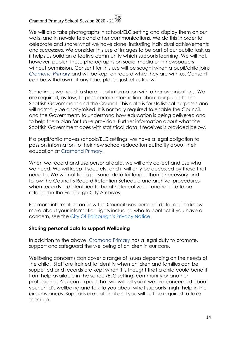We will also take photographs in school/ELC setting and display them on our walls, and in newsletters and other communications. We do this in order to celebrate and share what we have done, including individual achievements and successes. We consider this use of images to be part of our public task as it helps us build an effective community which supports learning. We will not, however, publish these photographs on social media or in newspapers without permission. Consent for this use will be sought when a pupil/child joins *Cramond Primary* and will be kept on record while they are with us. Consent can be withdrawn at any time, please just let us know.

Sometimes we need to share pupil information with other organisations. We are required, by law, to pass certain information about our pupils to the Scottish Government and the Council. This data is for statistical purposes and will normally be anonymised. It is normally required to enable the Council, and the Government, to understand how education is being delivered and to help them plan for future provision. Further information about what the Scottish Government does with statistical data it receives is provided below.

If a pupil/child moves schools/ELC settings, we have a legal obligation to pass on information to their new school/education authority about their education at Cramond Primary.

When we record and use personal data, we will only collect and use what we need. We will keep it securely, and it will only be accessed by those that need to. We will not keep personal data for longer than is necessary and follow the Council's Record Retention Schedule and archival procedures when records are identified to be of historical value and require to be retained in the Edinburgh City Archives.

For more information on how the Council uses personal data, and to know more about your information rights including who to contact if you have a concern, see the City Of Edinburgh's Privacy Notice.

#### **Sharing personal data to support Wellbeing**

In addition to the above, Cramond Primary has a legal duty to promote, support and safeguard the wellbeing of children in our care.

Wellbeing concerns can cover a range of issues depending on the needs of the child. Staff are trained to identify when children and families can be supported and records are kept when it is thought that a child could benefit from help available in the school/ELC setting, community or another professional. You can expect that we will tell you if we are concerned about your child's wellbeing and talk to you about what supports might help in the circumstances. Supports are optional and you will not be required to take them up.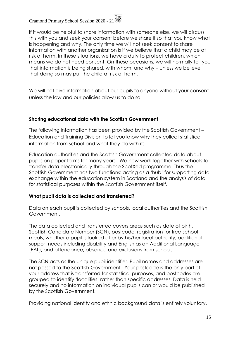If it would be helpful to share information with someone else, we will discuss this with you and seek your consent before we share it so that you know what is happening and why. The only time we will not seek consent to share information with another organisation is if we believe that a child may be at risk of harm. In these situations, we have a duty to protect children, which means we do not need consent. On these occasions, we will normally tell you that information is being shared, with whom, and why – unless we believe that doing so may put the child at risk of harm.

We will not give information about our pupils to anyone without your consent unless the law and our policies allow us to do so.

#### **Sharing educational data with the Scottish Government**

The following information has been provided by the Scottish Government – Education and Training Division to let you know why they collect statistical information from school and what they do with it:

Education authorities and the Scottish Government collected data about pupils on paper forms for many years. We now work together with schools to transfer data electronically through the ScotXed programme. Thus the Scottish Government has two functions: acting as a 'hub' for supporting data exchange within the education system in Scotland and the analysis of data for statistical purposes within the Scottish Government itself.

#### **What pupil data is collected and transferred?**

Data on each pupil is collected by schools, local authorities and the Scottish Government.

The data collected and transferred covers areas such as date of birth, Scottish Candidate Number (SCN), postcode, registration for free-school meals, whether a pupil is looked after by his/her local authority, additional support needs including disability and English as an Additional Language (EAL), and attendance, absence and exclusions from school.

The SCN acts as the unique pupil identifier. Pupil names and addresses are not passed to the Scottish Government. Your postcode is the only part of your address that is transferred for statistical purposes, and postcodes are grouped to identify 'localities' rather than specific addresses. Data is held securely and no information on individual pupils can or would be published by the Scottish Government.

Providing national identity and ethnic background data is entirely voluntary.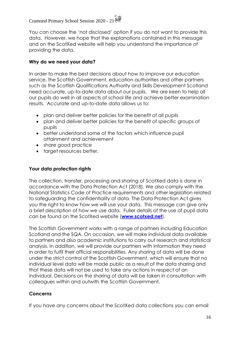You can choose the 'not disclosed' option if you do not want to provide this data. However, we hope that the explanations contained in this message and on the ScotXed website will help you understand the importance of providing the data.

#### **Why do we need your data?**

In order to make the best decisions about how to improve our education service, the Scottish Government, education authorities and other partners such as the Scottish Qualifications Authority and Skills Development Scotland need accurate, up-to-date data about our pupils. We are keen to help all our pupils do well in all aspects of school life and achieve better examination results. Accurate and up-to-date data allows us to:

- plan and deliver better policies for the benefit of all pupils
- plan and deliver better policies for the benefit of specific groups of pupils
- better understand some of the factors which influence pupil attainment and achievement
- share good practice
- target resources better.

#### **Your data protection rights**

The collection, transfer, processing and sharing of ScotXed data is done in accordance with the Data Protection Act (2018). We also comply with the National Statistics Code of Practice requirements and other legislation related to safeguarding the confidentiality of data. The Data Protection Act gives you the right to know how we will use your data. This message can give only a brief description of how we use data. Fuller details of the use of pupil data can be found on the ScotXed website (**[www.scotxed.net](http://www.scotxed.net/)**).

The Scottish Government works with a range of partners including Education Scotland and the SQA. On occasion, we will make individual data available to partners and also academic institutions to carry out research and statistical analysis. In addition, we will provide our partners with information they need in order to fulfil their official responsibilities. Any sharing of data will be done under the strict control of the Scottish Government, which will ensure that no individual level data will be made public as a result of the data sharing and that these data will not be used to take any actions in respect of an individual. Decisions on the sharing of data will be taken in consultation with colleagues within and outwith the Scottish Government.

#### **Concerns**

If you have any concerns about the ScotXed data collections you can email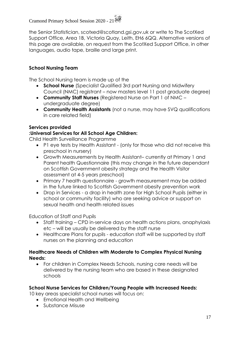the Senior Statistician, scotxed@scotland.gsi.gov.uk or write to The ScotXed Support Office, Area 1B, Victoria Quay, Leith, EH6 6QQ. Alternative versions of this page are available, on request from the ScotXed Support Office, in other languages, audio tape, braille and large print.

#### **School Nursing Team**

The School Nursing team is made up of the

- **School Nurse** (Specialist Qualified 3rd part Nursing and Midwifery Council (NMC) registrant – now masters level 11 post graduate degree)
- **Community Staff Nurses** (Registered Nurse on Part 1 of NMC undergraduate degree)
- **Community Health Assistants** (not a nurse, may have SVQ qualifications in care related field)

#### **Services provided**

#### **:Universal Services for All School Age Children:**

Child Health Surveillance Programme

- P1 eye tests by Health Assistant (only for those who did not receive this preschool in nursery)
- Growth Measurements by Health Assistant– currently at Primary 1 and Parent health Questionnaire (this may change in the future dependant on Scottish Government obesity strategy and the Health Visitor assessment at 4-5 years preschool)
- Primary 7 health questionnaire growth measurement may be added in the future linked to Scottish Government obesity prevention work
- Drop in Services a drop in health zone for High School Pupils (either in school or community facility) who are seeking advice or support on sexual health and health related issues

Education of Staff and Pupils

- Staff training CPD in-service days on health actions plans, anaphylaxis etc – will be usually be delivered by the staff nurse
- Healthcare Plans for pupils education staff will be supported by staff nurses on the planning and education

#### **Healthcare Needs of Children with Moderate to Complex Physical Nursing Needs:**

• For children in Complex Needs Schools, nursing care needs will be delivered by the nursing team who are based in these designated schools

#### **School Nurse Services for Children/Young People with Increased Needs:**

10 key areas specialist school nurses will focus on:

- Emotional Health and Wellbeing
- Substance Misuse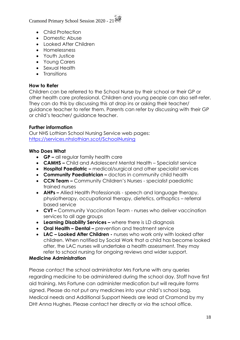- Child Protection
- Domestic Abuse
- Looked After Children
- Homelessness
- Youth Justice
- Young Carers
- Sexual Health
- Transitions

#### **How to Refer**

Children can be referred to the School Nurse by their school or their GP or other health care professional. Children and young people can also self-refer. They can do this by discussing this at drop ins or asking their teacher/ guidance teacher to refer them. Parents can refer by discussing with their GP or child's teacher/ guidance teacher.

#### **Further information**

Our NHS Lothian School Nursing Service web pages: <https://services.nhslothian.scot/SchoolNursing>

#### **Who Does What**

- **GP –** all regular family health care
- **CAMHS –** Child and Adolescent Mental Health Specialist service
- **Hospital Paediatric –** medical/surgical and other specialist services
- **Community Paediatrician –** doctors in community child health
- **CCN Team –** Community Children's Nurses specialist paediatric trained nurses
- **AHPs –** Allied Health Professionals speech and language therapy, physiotherapy, occupational therapy, dietetics, orthoptics – referral based service
- **CVT –** Community Vaccination Team nurses who deliver vaccination services to all age groups
- **Learning Disability Services –** where there is LD diagnosis
- **Oral Health – Dental –** prevention and treatment service
- **LAC – Looked After Children -** nurses who work only with looked after children. When notified by Social Work that a child has become looked after, the LAC nurses will undertake a health assessment. They may refer to school nursing for ongoing reviews and wider support.

#### **Medicine Administration**

Please contact the school administrator Mrs Fortune with any queries regarding medicine to be administered during the school day. Staff have first aid training. Mrs Fortune can administer medication but will require forms signed. Please do not put any medicines into your child's school bag. Medical needs and Additional Support Needs are lead at Cramond by my DHt Anna Hughes. Please contact her directly or via the school office.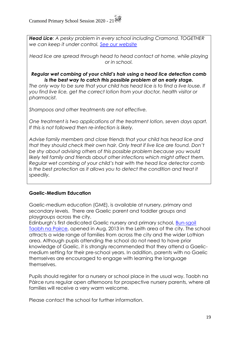*Head Lice: A pesky problem in every school including Cramond. TOGETHER we can keep it under control. [See our website](http://cramondprimary.co.uk/headlice-a-pesky-problem/)*

*Head lice are spread through head to head contact at home, while playing or in school.*

#### *Regular wet combing of your child's hair using a head lice detection comb is the best way to catch this possible problem at an early stage.*

*The only way to be sure that your child has head lice is to find a live louse. If you find live lice, get the correct lotion from your doctor, health visitor or pharmacist.* 

*Shampoos and other treatments are not effective.*

*One treatment is two applications of the treatment lotion, seven days apart. If this is not followed then re-infection is likely.*

*Advise family members and close friends that your child has head lice and that they should check their own hair. Only treat if live lice are found. Don't be shy about advising others of this possible problem because you would likely tell family and friends about other infections which might affect them. Regular wet combing of your child's hair with the head lice detector comb is the best protection as it allows you to detect the condition and treat it speedily.*

#### **Gaelic-Medium Education**

Gaelic-medium education (GME), is available at nursery, primary and secondary levels. There are Gaelic parent and toddler groups and playgroups across the city.

Edinburgh's first dedicated Gaelic nursery and primary school, [Bun-sgoil](http://www.taobhnapairce.edin.sch.uk/)  [Taobh na Pairce,](http://www.taobhnapairce.edin.sch.uk/) opened in Aug. 2013 in the Leith area of the city. The school attracts a wide range of families from across the city and the wider Lothian area. Although pupils attending the school do not need to have prior knowledge of Gaelic, it is strongly recommended that they attend a Gaelicmedium setting for their pre-school years. In addition, parents with no Gaelic themselves are encouraged to engage with learning the language themselves.

Pupils should register for a nursery or school place in the usual way. Taobh na Pàirce runs regular open afternoons for prospective nursery parents, where all families will receive a very warm welcome.

Please contact the school for further information.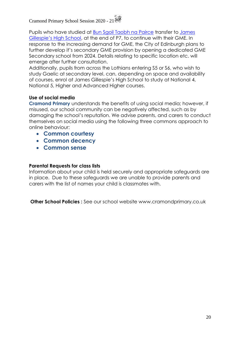Pupils who have studied at [Bun Sgoil Taobh na Pairce](http://www.taobhnapairce.edin.sch.uk/) transfer to [James](http://jamesgillespies.co.uk/)  [Gillespie's High School](http://jamesgillespies.co.uk/), at the end of P7, to continue with their GME. In response to the increasing demand for GME, the City of Edinburgh plans to further develop it's secondary GME provision by opening a dedicated GME Secondary school from 2024. Details relating to specific location etc. will emerge after further consultation.

Additionally, pupils from across the Lothians entering S5 or S6, who wish to study Gaelic at secondary level, can, depending on space and availability of courses, enrol at James Gillespie's High School to study at National 4, National 5, Higher and Advanced Higher courses.

#### **Use of social media**

**Cramond Primary** understands the benefits of using social media; however, if misused, our school community can be negatively affected, such as by damaging the school's reputation. We advise parents, and carers to conduct themselves on social media using the following three commons approach to online behaviour:

- **Common courtesy**
- **Common decency**
- **Common sense**

#### **Parental Requests for class lists**

Information about your child is held securely and appropriate safeguards are in place. Due to these safeguards we are unable to provide parents and carers with the list of names your child is classmates with.

**Other School Policies** : See our school website www.cramondprimary.co.uk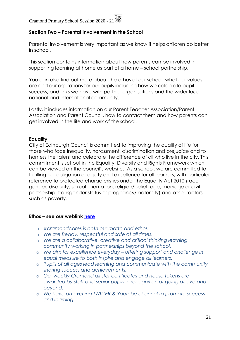#### **Section Two – Parental Involvement in the School**

Parental involvement is very important as we know it helps children do better in school.

This section contains information about how parents can be involved in supporting learning at home as part of a home – school partnership.

You can also find out more about the ethos of our school, what our values are and our aspirations for our pupils including how we celebrate pupil success, and links we have with partner organisations and the wider local, national and international community.

Lastly, it includes information on our Parent Teacher Association/Parent Association and Parent Council, how to contact them and how parents can get involved in the life and work of the school.

#### **Equality**

City of Edinburgh Council is committed to improving the quality of life for those who face inequality, harassment, discrimination and prejudice and to harness the talent and celebrate the difference of all who live in the city. This commitment is set out in the Equality, Diversity and Rights Framework which can be viewed on the council's website. As a school, we are committed to fulfilling our obligation of equity and excellence for all learners, with particular reference to protected characteristics under the Equality Act 2010 (race, gender, disability, sexual orientation, religion/belief, age, marriage or civil partnership, transgender status or pregnancy/maternity) and other factors such as poverty.

#### **Ethos – see our weblink [here](cramondprimary.co.uk/cramond-cares/)**

- o *#cramondcares is both our motto and ethos.*
- o *We are Ready, respectful and safe at all times.*
- o *We are a collaborative, creative and critical thinking learning community working in partnerships beyond the school.*
- o *We aim for excellence everyday – offering support and challenge in equal measure to both inspire and engage all learners.*
- o *Pupils of all ages lead learning and communicate with the community sharing success and achievements.*
- o *Our weekly Cramond all star certificates and house tokens are awarded by staff and senior pupils in recognition of going above and beyond.*
- o *We have an exciting TWITTER & Youtube channel to promote success and learning.*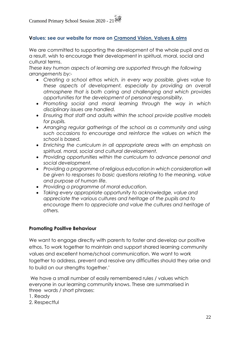#### **Values: see our website for more on [Cramond Vision, Values & aims](http://cramondprimary.co.uk/vision-values-aims/)**

We are committed to supporting the development of the whole pupil and as a result, wish to encourage their development in spiritual, moral, social and cultural terms.

*These key human aspects of learning are supported through the following arrangements by:-*

- *Creating a school ethos which, in every way possible, gives value to these aspects of development, especially by providing an overall atmosphere that is both caring and challenging and which provides opportunities for the development of personal responsibility.*
- *Promoting social and moral learning through the way in which disciplinary issues are handled.*
- *Ensuring that staff and adults within the school provide positive models for pupils.*
- *Arranging regular gatherings of the school as a community and using such occasions to encourage and reinforce the values on which the school is based.*
- *Enriching the curriculum in all appropriate areas with an emphasis on spiritual, moral, social and cultural development.*
- *Providing opportunities within the curriculum to advance personal and social development.*
- *Providing a programme of religious education in which consideration will be given to responses to basic questions relating to the meaning, value and purpose of human life.*
- *Providing a programme of moral education.*
- *Taking every appropriate opportunity to acknowledge, value and appreciate the various cultures and heritage of the pupils and to encourage them to appreciate and value the cultures and heritage of others.*

#### **Promoting Positive Behaviour**

We want to engage directly with parents to foster and develop our positive ethos. To work together to maintain and support shared learning community values and excellent home/school communication. We want to work together to address, prevent and resolve any difficulties should they arise and to build on our strengths together.'

We have a small number of easily remembered rules / values which everyone in our learning community knows. These are summarised in three words / short phrases:

- 1. Ready
- 2. Respectful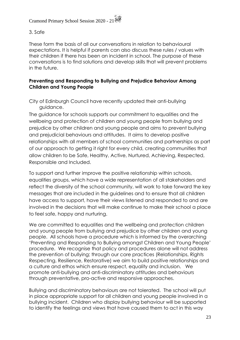#### 3. Safe

These form the basis of all our conversations in relation to behavioural expectations. It is helpful if parents can also discuss these rules / values with their children if there has been an incident in school. The purpose of these conversations is to find solutions and develop skills that will prevent problems in the future.

#### **Preventing and Responding to Bullying and Prejudice Behaviour Among Children and Young People**

City of Edinburgh Council have recently updated their anti-bullying guidance.

The guidance for schools supports our commitment to equalities and the wellbeing and protection of children and young people from bullying and prejudice by other children and young people and aims to prevent bullying and prejudicial behaviours and attitudes. It aims to develop positive relationships with all members of school communities and partnerships as part of our approach to getting it right for every child, creating communities that allow children to be Safe, Healthy, Active, Nurtured, Achieving, Respected, Responsible and Included.

To support and further improve the positive relationship within schools, equalities groups, which have a wide representation of all stakeholders and reflect the diversity of the school community, will work to take forward the key messages that are included in the guidelines and to ensure that all children have access to support, have their views listened and responded to and are involved in the decisions that will make continue to make their school a place to feel safe, happy and nurturing.

We are committed to equalities and the wellbeing and protection children and young people from bullying and prejudice by other children and young people. All schools have a procedure which is informed by the overarching 'Preventing and Responding to Bullying amongst Children and Young People' procedure. We recognise that policy and procedures alone will not address the prevention of bullying; through our core practices (Relationships, Rights Respecting, Resilience, Restorative) we aim to build positive relationships and a culture and ethos which ensure respect, equality and inclusion. We promote anti-bullying and anti-discriminatory attitudes and behaviours through preventative, pro-active and responsive approaches.

Bullying and discriminatory behaviours are not tolerated. The school will put in place appropriate support for all children and young people involved in a bullying incident. Children who display bullying behaviour will be supported to identify the feelings and views that have caused them to act in this way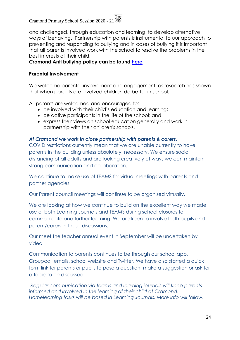and challenged, through education and learning, to develop alternative ways of behaving. Partnership with parents is instrumental to our approach to preventing and responding to bullying and in cases of bullying it is important that all parents involved work with the school to resolve the problems in the best interests of their child.

#### **Cramond Anti bullying policy can be found [here](cramondprimary.co.uk/anti-bullying-equalities/)**

#### **Parental Involvement**

We welcome parental involvement and engagement, as research has shown that when parents are involved children do better in school.

All parents are welcomed and encouraged to:

- be involved with their child's education and learning;
- be active participants in the life of the school; and
- express their views on school education generally and work in partnership with their children's schools.

#### *At Cramond we work in close partnership with parents & carers.*

COVID restrictions currently mean that we are unable currently to have parents in the building unless absolutely, necessary. We ensure social distancing of all adults and are looking creatively at ways we can maintain strong communication and collaboration.

We continue to make use of TEAMS for virtual meetings with parents and partner agencies.

Our Parent council meetings will continue to be organised virtually.

We are looking at how we continue to build on the excellent way we made use of both Learning Journals and TEAMS during school closures to communicate and further learning. We are keen to involve both pupils and parent/carers in these discussions.

Our meet the teacher annual event in September will be undertaken by video.

Communication to parents continues to be through our school app, Groupcall emails, school website and Twitter. We have also started a quick form link for parents or pupils to pose a question, make a suggestion or ask for a topic to be discussed.

*Regular communication via teams and learning journals will keep parents informed and involved in the learning of their child at Cramond. Homelearning tasks will be based in Learning Journals, More info will follow.*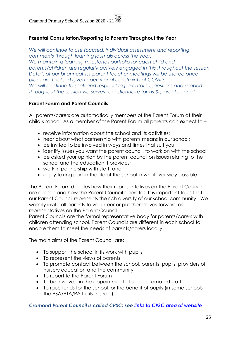#### **Parental Consultation/Reporting to Parents Throughout the Year**

*We will continue to use focused, individual assessment and reporting comments through learning journals across the year. We maintain a learning milestones portfolio for each child and parents/children are regularly actively engaged in this throughout the session. Details of our bi-annual 1:1 parent teacher meetings will be shared once plans are finalised given operational constraints of COVID. We will continue to seek and respond to parental suggestions and support throughout the session via survey, questionnaire forms & parent council.*

#### **Parent Forum and Parent Councils**

All parents/carers are automatically members of the Parent Forum at their child's school. As a member of the Parent Forum all parents can expect to –

- receive information about the school and its activities;
- hear about what partnership with parents means in our school;
- be invited to be involved in ways and times that suit you;
- identify issues you want the parent council, to work on with the school;
- be asked your opinion by the parent council on issues relating to the school and the education it provides;
- work in partnership with staff; and
- enjoy taking part in the life of the school in whatever way possible.

The Parent Forum decides how their representatives on the Parent Council are chosen and how the Parent Council operates. It is important to us that our Parent Council represents the rich diversity of our school community. We warmly invite all parents to volunteer or put themselves forward as representatives on the Parent Council.

Parent Councils are the formal representative body for parents/carers with children attending school. Parent Councils are different in each school to enable them to meet the needs of parents/carers locally.

The main aims of the Parent Council are:

- To support the school in its work with pupils
- To represent the views of parents
- To promote contact between the school, parents, pupils, providers of nursery education and the community
- To report to the Parent Forum
- To be involved in the appointment of senior promoted staff.
- To raise funds for the school for the benefit of pupils (in some schools the PSA/PTA/PA fulfils this role).

#### *Cramond Parent Council is called CPSC: see [links to CPSC area of website](http://cramondprimary.co.uk/cpsc-minutes/)*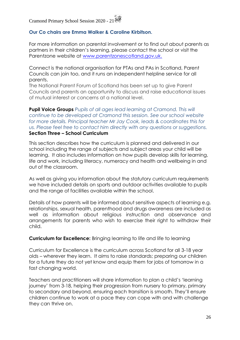#### **Our Co chairs are Emma Walker & Caroline Kirbitson.**

For more information on parental involvement or to find out about parents as partners in their children's learning, please contact the school or visit the Parentzone website at [www.parentzonescotland.gov.uk.](http://www.parentzonescotland.gov.uk/)

Connect is the national organisation for PTAs and PAs in Scotland, Parent Councils can join too, and it runs an independent helpline service for all parents.

The National Parent Forum of Scotland has been set up to give Parent Councils and parents an opportunity to discuss and raise educational issues of mutual interest or concerns at a national level.

**Pupil Voice Groups** *Pupils of all ages lead learning at Cramond. This will continue to be developed at Cramond this session. See our school website for more details. Principal teacher Mr Jay Cook, leads & coordinates this for us. Please feel free to contact him directly with any questions or suggestions.* **Section Three – School Curriculum**

This section describes how the curriculum is planned and delivered in our school including the range of subjects and subject areas your child will be learning. It also includes information on how pupils develop skills for learning, life and work, including literacy, numeracy and health and wellbeing in and out of the classroom.

As well as giving you information about the statutory curriculum requirements we have included details on sports and outdoor activities available to pupils and the range of facilities available within the school.

Details of how parents will be informed about sensitive aspects of learning e.g. relationships, sexual health, parenthood and drugs awareness are included as well as information about religious instruction and observance and arrangements for parents who wish to exercise their right to withdraw their child.

**Curriculum for Excellence:** Bringing learning to life and life to learning

Curriculum for Excellence is the curriculum across Scotland for all 3-18 year olds – wherever they learn. It aims to raise standards; preparing our children for a future they do not yet know and equip them for jobs of tomorrow in a fast changing world.

Teachers and practitioners will share information to plan a child's 'learning journey' from 3-18, helping their progression from nursery to primary, primary to secondary and beyond, ensuring each transition is smooth. They'll ensure children continue to work at a pace they can cope with and with challenge they can thrive on.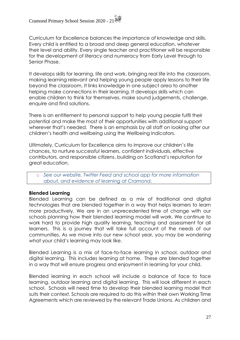Curriculum for Excellence balances the importance of knowledge and skills. Every child is entitled to a broad and deep general education, whatever their level and ability. Every single teacher and practitioner will be responsible for the development of literacy and numeracy from Early Level through to Senior Phase.

It develops skills for learning, life and work, bringing real life into the classroom, making learning relevant and helping young people apply lessons to their life beyond the classroom. It links knowledge in one subject area to another helping make connections in their learning. It develops skills which can enable children to think for themselves, make sound judgements, challenge, enquire and find solutions.

There is an entitlement to personal support to help young people fulfil their potential and make the most of their opportunities with additional support wherever that's needed. There is an emphasis by all staff on looking after our children's health and wellbeing using the Wellbeing Indicators.

Ultimately, Curriculum for Excellence aims to improve our children's life chances, to nurture successful learners, confident individuals, effective contributors, and responsible citizens, building on Scotland's reputation for great education.

o *See our website, Twitter Feed and school app for more information about, and evidence of learning at Cramond.*

#### **Blended Learning**

Blended Learning can be defined as a mix of traditional and digital technologies that are blended together in a way that helps learners to learn more productively. We are in an unprecedented time of change with our schools planning how their blended learning model will work. We continue to work hard to provide high quality learning, teaching and assessment for all learners. This is a journey that will take full account of the needs of our communities. As we move into our new school year, you may be wondering what your child's learning may look like.

Blended Learning is a mix of face-to-face learning in school, outdoor and digital learning. This includes learning at home. These are blended together in a way that will ensure progress and enjoyment in learning for your child.

Blended learning in each school will include a balance of face to face learning, outdoor learning and digital learning. This will look different in each school. Schools will need time to develop their blended learning model that suits their context. Schools are required to do this within their own Working Time Agreements which are reviewed by the relevant Trade Unions. As children and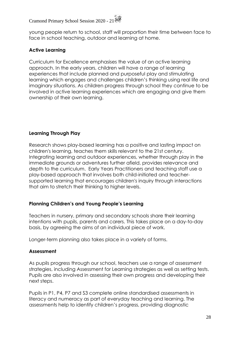young people return to school, staff will proportion their time between face to face in school teaching, outdoor and learning at home.

#### **Active Learning**

Curriculum for Excellence emphasises the value of an active learning approach. In the early years, children will have a range of learning experiences that include planned and purposeful play and stimulating learning which engages and challenges children's thinking using real life and imaginary situations. As children progress through school they continue to be involved in active learning experiences which are engaging and give them ownership of their own learning.

#### **Learning Through Play**

Research shows play-based learning has a positive and lasting impact on children's learning, teaches them skills relevant to the 21st century. Integrating learning and outdoor experiences, whether through play in the immediate grounds or adventures further afield, provides relevance and depth to the curriculum. Early Years Practitioners and teaching staff use a play-based approach that involves both child-initiated and teachersupported learning that encourages children's inquiry through interactions that aim to stretch their thinking to higher levels.

#### **Planning Children's and Young People's Learning**

Teachers in nursery, primary and secondary schools share their learning intentions with pupils, parents and carers. This takes place on a day-to-day basis, by agreeing the aims of an individual piece of work.

Longer-term planning also takes place in a variety of forms.

#### **Assessment**

As pupils progress through our school, teachers use a range of assessment strategies, including Assessment for Learning strategies as well as setting tests. Pupils are also involved in assessing their own progress and developing their next steps.

Pupils in P1, P4, P7 and S3 complete online standardised assessments in literacy and numeracy as part of everyday teaching and learning. The assessments help to identify children's progress, providing diagnostic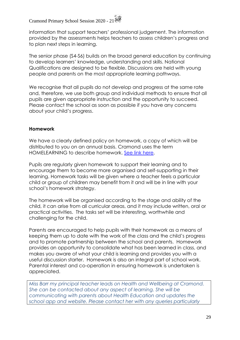information that support teachers' professional judgement. The information provided by the assessments helps teachers to assess children's progress and to plan next steps in learning.

The senior phase (S4-S6) builds on the broad general education by continuing to develop learners' knowledge, understanding and skills. National Qualifications are designed to be flexible. Discussions are held with young people and parents on the most appropriate learning pathways.

We recognise that all pupils do not develop and progress at the same rate and, therefore, we use both group and individual methods to ensure that all pupils are given appropriate instruction and the opportunity to succeed. Please contact the school as soon as possible if you have any concerns about your child's progress.

#### **Homework**

We have a clearly defined policy on homework, a copy of which will be distributed to you on an annual basis. Cramond uses the term HOMELEARNING to describe homework. [See link here.](cramondprimary.co.uk/homelearning/)

Pupils are regularly given homework to support their learning and to encourage them to become more organised and self-supporting in their learning. Homework tasks will be given where a teacher feels a particular child or group of children may benefit from it and will be in line with your school's homework strategy.

The homework will be organised according to the stage and ability of the child, it can arise from all curricular areas, and it may include written, oral or practical activities. The tasks set will be interesting, worthwhile and challenging for the child.

Parents are encouraged to help pupils with their homework as a means of keeping them up to date with the work of the class and the child's progress and to promote partnership between the school and parents. Homework provides an opportunity to consolidate what has been learned in class, and makes you aware of what your child is learning and provides you with a useful discussion starter. Homework is also an integral part of school work. Parental interest and co-operation in ensuring homework is undertaken is appreciated.

*Miss Barr my principal teacher leads on Health and Wellbeing at Cramond. She can be contacted about any aspect of learning. She will be communicating with parents about Health Education and updates the school app and website. Please contact her with any queries particularly*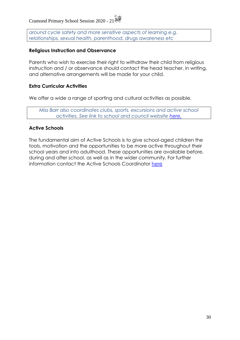*around cycle safety and more sensitive aspects of learning e.g. relationships, sexual health, parenthood, drugs awareness etc*

#### **Religious Instruction and Observance**

Parents who wish to exercise their right to withdraw their child from religious instruction and / or observance should contact the head teacher, in writing, and alternative arrangements will be made for your child.

#### **Extra Curricular Activities**

We offer a wide a range of sporting and cultural activities as possible.

*Miss Barr also coordinates clubs, sports, excursions and active school activities. See link to school and council website [here.](cramondprimary.co.uk/active-schools/)*

#### **Active Schools**

.

The fundamental aim of Active Schools is to give school-aged children the tools, motivation and the opportunities to be more active throughout their school years and into adulthood. These opportunities are available before, during and after school, as well as in the wider community. For further information contact the Active Schools Coordinator [here](cramondprimary.co.uk/active-schools/)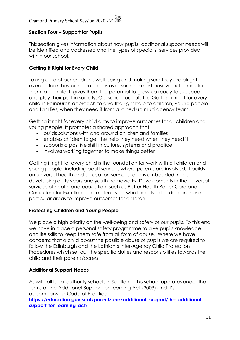#### **Section Four – Support for Pupils**

This section gives information about how pupils' additional support needs will be identified and addressed and the types of specialist services provided within our school.

#### **Getting It Right for Every Child**

Taking care of our children's well-being and making sure they are alright even before they are born - helps us ensure the most positive outcomes for them later in life. It gives them the potential to grow up ready to succeed and play their part in society. Our school adopts the Getting it right for every child in Edinburgh approach to give the right help to children, young people and families, when they need it from a joined up multi agency team.

Getting it right for every child aims to improve outcomes for all children and young people. It promotes a shared approach that:

- builds solutions with and around children and families
- enables children to get the help they need when they need it
- supports a positive shift in culture, systems and practice
- involves working together to make things better

Getting it right for every child is the foundation for work with all children and young people, including adult services where parents are involved. It builds on universal health and education services, and is embedded in the developing early years and youth frameworks. Developments in the universal services of health and education, such as Better Health Better Care and Curriculum for Excellence, are identifying what needs to be done in those particular areas to improve outcomes for children.

#### **Protecting Children and Young People**

We place a high priority on the well-being and safety of our pupils. To this end we have in place a personal safety programme to give pupils knowledge and life skills to keep them safe from all form of abuse. Where we have concerns that a child about the possible abuse of pupils we are required to follow the Edinburgh and the Lothian's Inter-Agency Child Protection Procedures which set out the specific duties and responsibilities towards the child and their parents/carers.

#### **Additional Support Needs**

As with all local authority schools in Scotland, this school operates under the terms of the Additional Support for Learning Act (2009) and it's accompanying Code of Practice:

**[https://education.gov.scot/parentzone/additional-support/the-additional](https://education.gov.scot/parentzone/additional-support/the-additional-support-for-learning-act/)[support-for-learning-act/](https://education.gov.scot/parentzone/additional-support/the-additional-support-for-learning-act/)**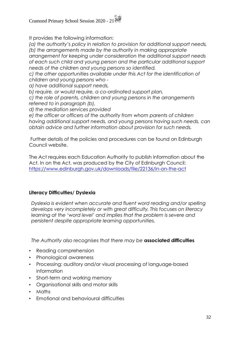It provides the following information:

*(a) the authority's policy in relation to provision for additional support needs, (b) the arrangements made by the authority in making appropriate arrangement for keeping under consideration the additional support needs of each such child and young person and the particular additional support needs of the children and young persons so identified.*

*c) the other opportunities available under this Act for the identification of children and young persons who -*

*a) have additional support needs,*

*b) require, or would require, a co-ordinated support plan,*

*c) the role of parents, children and young persons in the arrangements referred to in paragraph (b),*

*d) the mediation services provided* 

*e) the officer or officers of the authority from whom parents of children having additional support needs, and young persons having such needs, can obtain advice and further information about provision for such needs.*

Further details of the policies and procedures can be found on Edinburgh Council website.

The Act requires each Education Authority to publish information about the Act. In on the Act, was produced by the City of Edinburgh Council: <https://www.edinburgh.gov.uk/downloads/file/22136/in-on-the-act>

#### **Literacy Difficulties/ Dyslexia**

*Dyslexia is evident when accurate and fluent word reading and/or spelling develops very incompletely or with great difficulty. This focuses on literacy learning at the 'word level' and implies that the problem is severe and persistent despite appropriate learning opportunities.*

*The Authority also recognises that there may be* **associated difficulties** 

- Reading comprehension
- Phonological awareness
- Processing: auditory and/or visual processing of language-based information
- Short-term and working memory
- Organisational skills and motor skills
- Maths
- Emotional and behavioural difficulties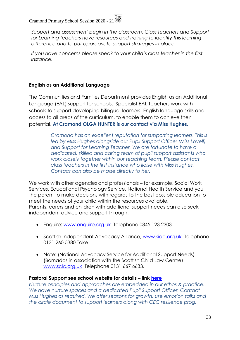*Support and assessment begin in the classroom. Class teachers and Support*  for Learning teachers have resources and training to identify this learning *difference and to put appropriate support strategies in place.* 

*If you have concerns please speak to your child's class teacher in the first instance.* 

#### **English as an Additional Language**

The Communities and Families Department provides English as an Additional Language (EAL) support for schools. Specialist EAL Teachers work with schools to support developing bilingual learners' English language skills and access to all areas of the curriculum, to enable them to achieve their potential. **At Cramond OLGA HUNTER is our contact via Miss Hughes.**

> *Cramond has an excellent reputation for supporting learners. This is led by Miss Hughes alongside our Pupil Support Officer (Miss Lovell) and Support for Learning Teacher. We are fortunate to have a dedicated, skilled and caring team of pupil support assistants who work closely together within our teaching team. Please contact class teachers in the first instance who liaise with Miss Hughes. Contact can also be made directly to her.*

We work with other agencies and professionals – for example, Social Work Services, Educational Psychology Service, National Health Service and you the parent to make decisions with regards to the best possible education to meet the needs of your child within the resources available. Parents, carers and children with additional support needs can also seek independent advice and support through:

- Enquire: [www.enquire.org.uk](http://www.enquire.org.uk/) Telephone 0845 123 2303
- Scottish Independent Advocacy Alliance, [www.siaa.org.uk](http://www.siaa.org.uk/) Telephone 0131 260 5380 Take
- Note: (National Advocacy Service for Additional Support Needs) (Barnados in association with the Scottish Child Law Centre) [www.sclc.org.uk](http://www.sclc.org.uk/) Telephone 0131 667 6633.

#### **Pastoral Support see school website for details – link [here](cramondprimary.co.uk/partnership-support-for-pupils-families/)**

*Nurture principles and approaches are embedded in our ethos & practice. We have nurture spaces and a dedicated Pupil Support Officer. Contact Miss Hughes as required. We offer seasons for growth, use emotion talks and the circle document to support learners along with CEC resilience prog.*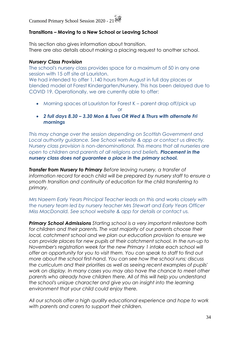#### **Transitions – Moving to a New School or Leaving School**

This section also gives information about transition. There are also details about making a placing request to another school.

#### *Nursery Class Provision*

The school's nursery class provides space for a maximum of 50 in any one session with 15 off site at Lauriston.

We had intended to offer 1,140 hours from August in full day places or blended model at Forest Kindergarten/Nursery. This has been delayed due to COVID 19. Operationally, we are currently able to offer:

• Morning spaces at Lauriston for Forest K – parent drop off/pick up

or

• *2 full days 8.30 – 3.30 Mon & Tues OR Wed & Thurs with alternate Fri mornings*

*This may change over the session depending on Scottish Government and Local authority guidance. See School website & app or contact us directly. Nursery class provision is non-denominational. This means that all nurseries are open to children and parents of all religions and beliefs. Placement in the nursery class does not guarantee a place in the primary school.*

*Transfer from Nursery to Primary Before leaving nursery, a transfer of*  information record for each child will be prepared by nursery staff to ensure a *smooth transition and continuity of education for the child transferring to primary.*

*Mrs Naeem Early Years Principal Teacher leads on this and works closely with the nursery team led by nursery teacher Mrs Stewart and Early Years Officer Miss MacDonald. See school website & app for details or contact us.*

*Primary School Admissions Starting school is a very important milestone both*  for children and their parents. The vast majority of our parents choose their *local, catchment school and we plan our education provision to ensure we can provide places for new pupils at their catchment school. In the run-up to November's registration week for the new Primary 1 intake each school will offer an opportunity for you to visit them. You can speak to staff to find out more about the school first-hand. You can see how the school runs; discuss the curriculum and their priorities as well as seeing recent examples of pupils' work on display. In many cases you may also have the chance to meet other parents who already have children there. All of this will help you understand the school's unique character and give you an insight into the learning environment that your child could enjoy there.*

*All our schools offer a high quality educational experience and hope to work with parents and carers to support their children.*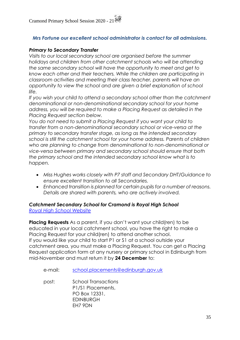#### *Mrs Fortune our excellent school administrator is contact for all admissions.*

#### *Primary to Secondary Transfer*

*Visits to our local secondary school are organised before the summer holidays and children from other catchment schools who will be attending the same secondary school will have the opportunity to meet and get to know each other and their teachers. While the children are participating in classroom activities and meeting their class teacher, parents will have an opportunity to view the school and are given a brief explanation of school life.*

*If you wish your child to attend a secondary school other than the catchment denominational or non-denominational secondary school for your home address, you will be required to make a Placing Request as detailed in the Placing Request section below.*

*You do not need to submit a Placing Request if you want your child to transfer from a non-denominational secondary school or vice-versa at the primary to secondary transfer stage, as long as the intended secondary school is still the catchment school for your home address. Parents of children who are planning to change from denominational to non-denominational or vice-versa between primary and secondary school should ensure that both the primary school and the intended secondary school know what is to happen.* 

- *Miss Hughes works closely with P7 staff and Secondary DHT/Guidance to ensure excellent transition to all Secondaries.*
- *Enhanced transition is planned for certain pupils for a number of reasons. Details are shared with parents, who are actively involved.*

#### *Catchment Secondary School for Cramond is Royal High School [Royal High School Website](https://royalhigh.wordpress.com/)*

**Placing Requests** As a parent, if you don't want your child(ren) to be educated in your local catchment school, you have the right to make a Placing Request for your child(ren) to attend another school. If you would like your child to start P1 or S1 at a school outside your catchment area, you must make a Placing Request. You can get a Placing Request application form at any nursery or primary school in Edinburgh from mid-November and must return it by **24 December** to:

e-mail: [school.placements@edinburgh.gov.uk](mailto:school.placements@edinburgh.gov.uk)

post: School Transactions P1/S1 Placements, PO Box 12331, EDINBURGH EH7 9DN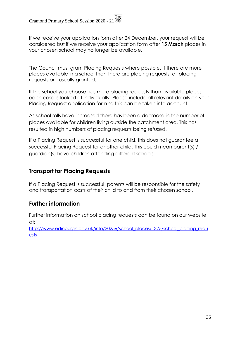If we receive your application form after 24 December, your request will be considered but if we receive your application form after **15 March** places in your chosen school may no longer be available.

The Council must grant Placing Requests where possible. If there are more places available in a school than there are placing requests, all placing requests are usually granted.

If the school you choose has more placing requests than available places, each case is looked at individually. Please include all relevant details on your Placing Request application form so this can be taken into account.

As school rolls have increased there has been a decrease in the number of places available for children living outside the catchment area. This has resulted in high numbers of placing requests being refused.

If a Placing Request is successful for one child, this does not guarantee a successful Placing Request for another child. This could mean parent(s) / guardian(s) have children attending different schools.

#### **Transport for Placing Requests**

If a Placing Request is successful, parents will be responsible for the safety and transportation costs of their child to and from their chosen school.

#### **Further information**

Further information on school placing requests can be found on our website at:

[http://www.edinburgh.gov.uk/info/20256/school\\_places/1375/school\\_placing\\_requ](http://www.edinburgh.gov.uk/info/20256/school_places/1375/school_placing_requests) [ests](http://www.edinburgh.gov.uk/info/20256/school_places/1375/school_placing_requests)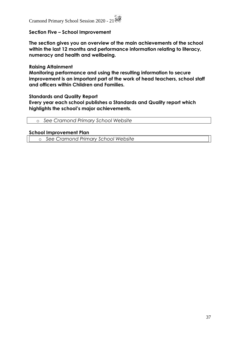#### **Section Five – School Improvement**

**The section gives you an overview of the main achievements of the school within the last 12 months and performance information relating to literacy, numeracy and health and wellbeing.**

#### **Raising Attainment**

**Monitoring performance and using the resulting information to secure improvement is an important part of the work of head teachers, school staff and officers within Children and Families.**

#### **Standards and Quality Report**

**Every year each school publishes a Standards and Quality report which highlights the school's major achievements.**

| o See Cramond Primary School Website |  |
|--------------------------------------|--|
|--------------------------------------|--|

#### **School Improvement Plan**

o *See Cramond Primary School Website*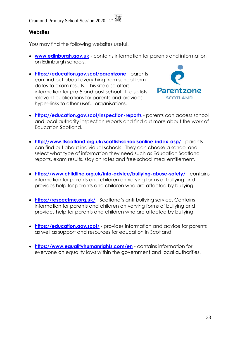#### **Websites**

You may find the following websites useful.

- **[www.edinburgh.gov.uk](http://www.edinburgh.gov.uk/)** contains information for parents and information on Edinburgh schools.
- **<https://education.gov.scot/parentzone>** parents can find out about everything from school term dates to exam results. This site also offers information for pre-5 and post school. It also lists relevant publications for parents and provides hyper-links to other useful organisations.



- **<https://education.gov.scot/inspection-reports>** parents can access school and local authority inspection reports and find out more about the work of Education Scotland.
- **<http://www.ltscotland.org.uk/scottishschoolsonline-index-asp/>** parents can find out about individual schools. They can choose a school and select what type of information they need such as Education Scotland reports, exam results, stay on rates and free school meal entitlement.
- **<https://www.childline.org.uk/info-advice/bullying-abuse-safety/>** contains information for parents and children on varying forms of bullying and provides help for parents and children who are affected by bullying.
- **<https://respectme.org.uk/>** Scotland's anti-bullying service. Contains information for parents and children on varying forms of bullying and provides help for parents and children who are affected by bullying
- **<https://education.gov.scot/>** provides information and advice for parents as well as support and resources for education in Scotland
- **<https://www.equalityhumanrights.com/en>** contains information for everyone on equality laws within the government and local authorities.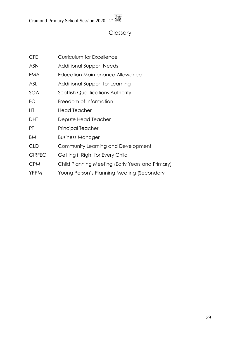### Glossary

| <b>CFE</b>    | <b>Curriculum for Excellence</b>                 |
|---------------|--------------------------------------------------|
| <b>ASN</b>    | <b>Additional Support Needs</b>                  |
| EMA           | Education Maintenance Allowance                  |
| ASL           | Additional Support for Learning                  |
| SQA           | <b>Scottish Qualifications Authority</b>         |
| FOI           | Freedom of Information                           |
| HТ            | <b>Head Teacher</b>                              |
| <b>DHT</b>    | Depute Head Teacher                              |
| PT.           | Principal Teacher                                |
| BM            | <b>Business Manager</b>                          |
| <b>CLD</b>    | Community Learning and Development               |
| <b>GIRFEC</b> | Getting it Right for Every Child                 |
| <b>CPM</b>    | Child Planning Meeting (Early Years and Primary) |
| <b>YPPM</b>   | Young Person's Planning Meeting (Secondary       |
|               |                                                  |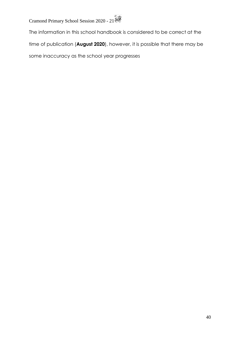The information in this school handbook is considered to be correct at the time of publication (**August 2020**), however, it is possible that there may be some inaccuracy as the school year progresses